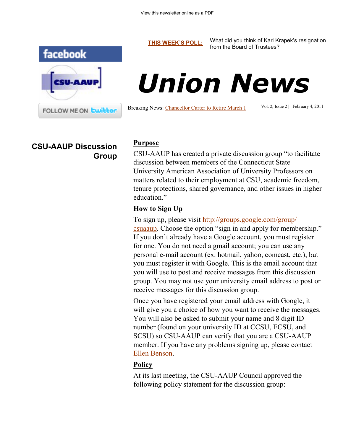facebook FOLLOW ME ON Lwitter

**[THIS WEEK'S POLL:](http://www.csuaaup.org/)** What did you think of Karl Krapek's resignation from the Board of Trustees?



Breaking News: [Chancellor Carter to Retire March 1](http://www.ct.edu/newsroom/releases/csus_chancellor_david_carter_to_conclude_45-year_career_in_education_respec/)

Vol. 2, Issue 2 | February 4, 2011

# **CSU-AAUP Discussion Group**

#### **Purpose**

CSU-AAUP has created a private discussion group "to facilitate discussion between members of the Connecticut State University American Association of University Professors on matters related to their employment at CSU, academic freedom, tenure protections, shared governance, and other issues in higher education."

#### **How to Sign Up**

To sign up, please visit [http://groups.google.com/group/](http://groups.google.com/group/csuaaup) [csuaaup](http://groups.google.com/group/csuaaup). Choose the option "sign in and apply for membership." If you don't already have a Google account, you must register for one. You do not need a gmail account; you can use any personal e-mail account (ex. hotmail, yahoo, comcast, etc.), but you must register it with Google. This is the email account that you will use to post and receive messages from this discussion group. You may not use your university email address to post or receive messages for this discussion group.

Once you have registered your email address with Google, it will give you a choice of how you want to receive the messages. You will also be asked to submit your name and 8 digit ID number (found on your university ID at CCSU, ECSU, and SCSU) so CSU-AAUP can verify that you are a CSU-AAUP member. If you have any problems signing up, please contact [Ellen Benson.](mailto:bensonell@ccsu.edu?subject=CSU-AAUP%20Google%20Group)

## **Policy**

At its last meeting, the CSU-AAUP Council approved the following policy statement for the discussion group: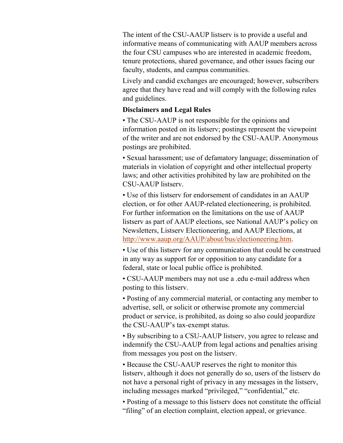The intent of the CSU-AAUP listserv is to provide a useful and informative means of communicating with AAUP members across the four CSU campuses who are interested in academic freedom, tenure protections, shared governance, and other issues facing our faculty, students, and campus communities.

Lively and candid exchanges are encouraged; however, subscribers agree that they have read and will comply with the following rules and guidelines.

### **Disclaimers and Legal Rules**

• The CSU-AAUP is not responsible for the opinions and information posted on its listserv; postings represent the viewpoint of the writer and are not endorsed by the CSU-AAUP. Anonymous postings are prohibited.

• Sexual harassment; use of defamatory language; dissemination of materials in violation of copyright and other intellectual property laws; and other activities prohibited by law are prohibited on the CSU-AAUP listserv.

• Use of this listserv for endorsement of candidates in an AAUP election, or for other AAUP-related electioneering, is prohibited. For further information on the limitations on the use of AAUP listserv as part of AAUP elections, see National AAUP's policy on Newsletters, Listserv Electioneering, and AAUP Elections, at [http://www.aaup.org/AAUP/about/bus/electioneering.htm.](http://www.aaup.org/AAUP/about/bus/electioneering.htm)

• Use of this listserv for any communication that could be construed in any way as support for or opposition to any candidate for a federal, state or local public office is prohibited.

• CSU-AAUP members may not use a .edu e-mail address when posting to this listserv.

• Posting of any commercial material, or contacting any member to advertise, sell, or solicit or otherwise promote any commercial product or service, is prohibited, as doing so also could jeopardize the CSU-AAUP's tax-exempt status.

• By subscribing to a CSU-AAUP listserv, you agree to release and indemnify the CSU-AAUP from legal actions and penalties arising from messages you post on the listserv.

• Because the CSU-AAUP reserves the right to monitor this listserv, although it does not generally do so, users of the listserv do not have a personal right of privacy in any messages in the listserv, including messages marked "privileged," "confidential," etc.

• Posting of a message to this listserv does not constitute the official "filing" of an election complaint, election appeal, or grievance.